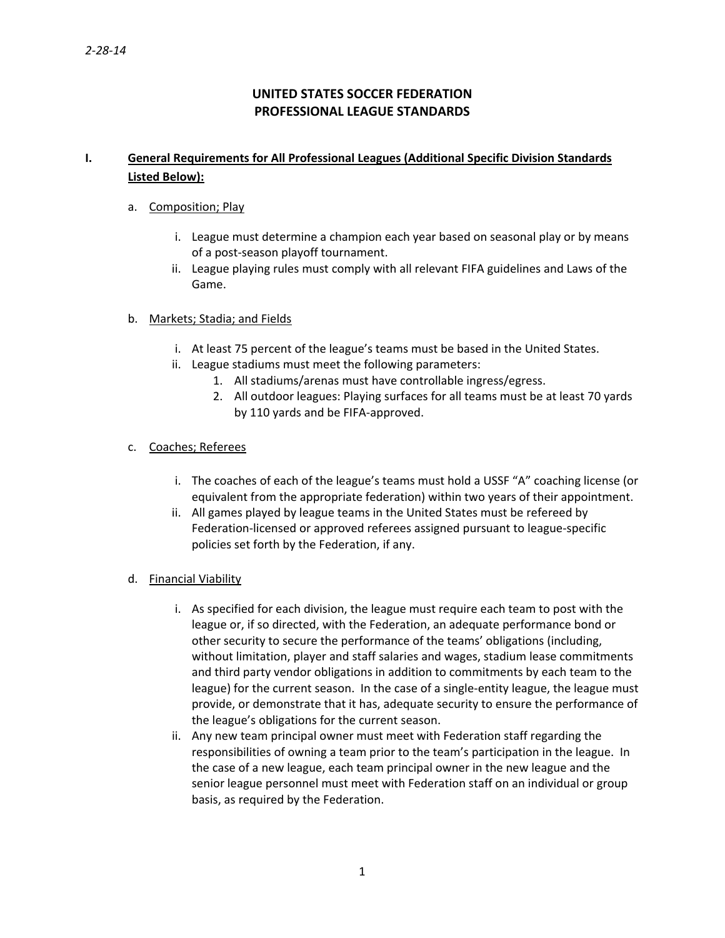# **UNITED STATES SOCCER FEDERATION PROFESSIONAL LEAGUE STANDARDS**

## **I. General Requirements for All Professional Leagues (Additional Specific Division Standards Listed Below):**

## a. Composition; Play

- i. League must determine a champion each year based on seasonal play or by means of a post‐season playoff tournament.
- ii. League playing rules must comply with all relevant FIFA guidelines and Laws of the Game.

## b. Markets; Stadia; and Fields

- i. At least 75 percent of the league's teams must be based in the United States.
- ii. League stadiums must meet the following parameters:
	- 1. All stadiums/arenas must have controllable ingress/egress.
	- 2. All outdoor leagues: Playing surfaces for all teams must be at least 70 yards by 110 yards and be FIFA‐approved.

#### c. Coaches; Referees

- i. The coaches of each of the league's teams must hold a USSF "A" coaching license (or equivalent from the appropriate federation) within two years of their appointment.
- ii. All games played by league teams in the United States must be refereed by Federation‐licensed or approved referees assigned pursuant to league‐specific policies set forth by the Federation, if any.
- d. Financial Viability
	- i. As specified for each division, the league must require each team to post with the league or, if so directed, with the Federation, an adequate performance bond or other security to secure the performance of the teams' obligations (including, without limitation, player and staff salaries and wages, stadium lease commitments and third party vendor obligations in addition to commitments by each team to the league) for the current season. In the case of a single-entity league, the league must provide, or demonstrate that it has, adequate security to ensure the performance of the league's obligations for the current season.
	- ii. Any new team principal owner must meet with Federation staff regarding the responsibilities of owning a team prior to the team's participation in the league. In the case of a new league, each team principal owner in the new league and the senior league personnel must meet with Federation staff on an individual or group basis, as required by the Federation.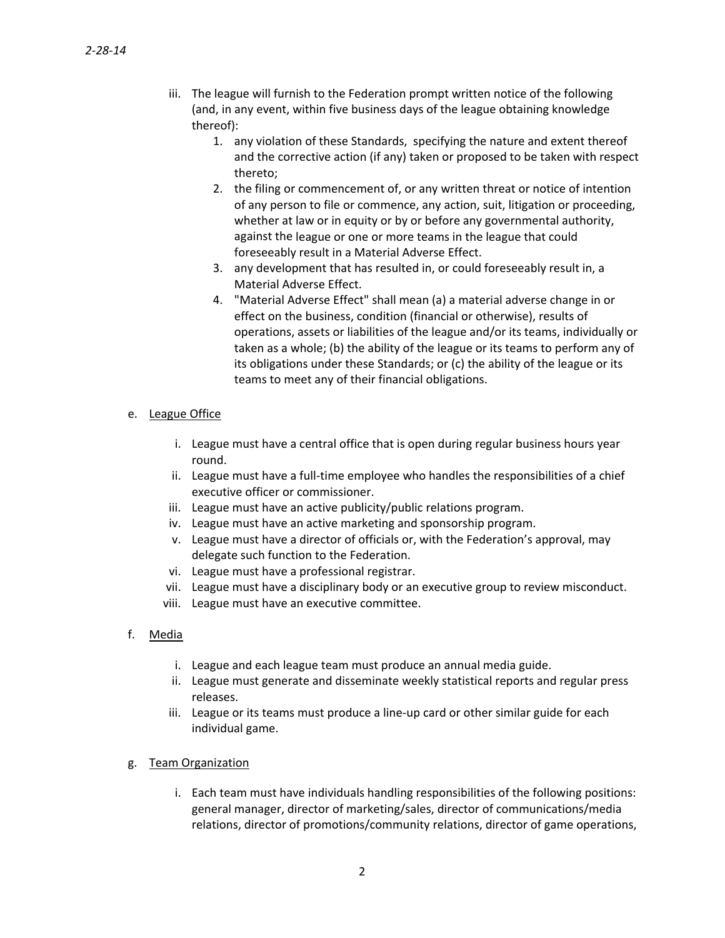- iii. The league will furnish to the Federation prompt written notice of the following (and, in any event, within five business days of the league obtaining knowledge thereof):
	- 1. any violation of these Standards, specifying the nature and extent thereof and the corrective action (if any) taken or proposed to be taken with respect thereto;
	- 2. the filing or commencement of, or any written threat or notice of intention of any person to file or commence, any action, suit, litigation or proceeding, whether at law or in equity or by or before any governmental authority, against the league or one or more teams in the league that could foreseeably result in a Material Adverse Effect.
	- 3. any development that has resulted in, or could foreseeably result in, a Material Adverse Effect.
	- 4. "Material Adverse Effect" shall mean (a) a material adverse change in or effect on the business, condition (financial or otherwise), results of operations, assets or liabilities of the league and/or its teams, individually or taken as a whole; (b) the ability of the league or its teams to perform any of its obligations under these Standards; or (c) the ability of the league or its teams to meet any of their financial obligations.

## e. League Office

- i. League must have a central office that is open during regular business hours year round.
- ii. League must have a full‐time employee who handles the responsibilities of a chief executive officer or commissioner.
- iii. League must have an active publicity/public relations program.
- iv. League must have an active marketing and sponsorship program.
- v. League must have a director of officials or, with the Federation's approval, may delegate such function to the Federation.
- vi. League must have a professional registrar.
- vii. League must have a disciplinary body or an executive group to review misconduct.
- viii. League must have an executive committee.
- f. Media
	- i. League and each league team must produce an annual media guide.
	- ii. League must generate and disseminate weekly statistical reports and regular press releases.
	- iii. League or its teams must produce a line‐up card or other similar guide for each individual game.
- g. Team Organization
	- i. Each team must have individuals handling responsibilities of the following positions: general manager, director of marketing/sales, director of communications/media relations, director of promotions/community relations, director of game operations,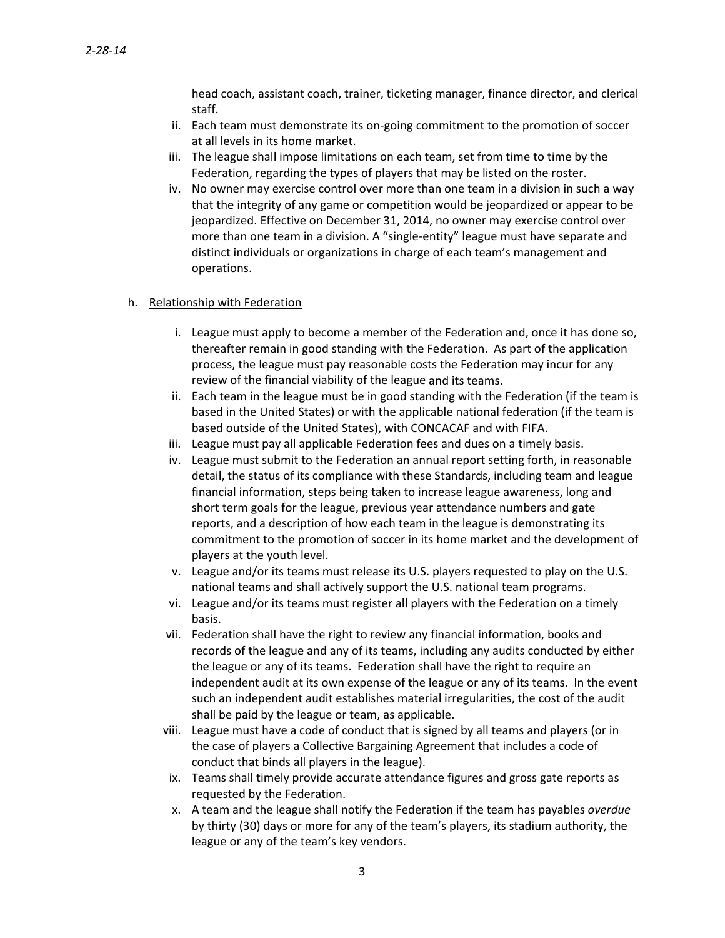head coach, assistant coach, trainer, ticketing manager, finance director, and clerical staff.

- ii. Each team must demonstrate its on‐going commitment to the promotion of soccer at all levels in its home market.
- iii. The league shall impose limitations on each team, set from time to time by the Federation, regarding the types of players that may be listed on the roster.
- iv. No owner may exercise control over more than one team in a division in such a way that the integrity of any game or competition would be jeopardized or appear to be jeopardized. Effective on December 31, 2014, no owner may exercise control over more than one team in a division. A "single-entity" league must have separate and distinct individuals or organizations in charge of each team's management and operations.

#### h. Relationship with Federation

- i. League must apply to become a member of the Federation and, once it has done so, thereafter remain in good standing with the Federation. As part of the application process, the league must pay reasonable costs the Federation may incur for any review of the financial viability of the league and its teams.
- ii. Each team in the league must be in good standing with the Federation (if the team is based in the United States) or with the applicable national federation (if the team is based outside of the United States), with CONCACAF and with FIFA.
- iii. League must pay all applicable Federation fees and dues on a timely basis.
- iv. League must submit to the Federation an annual report setting forth, in reasonable detail, the status of its compliance with these Standards, including team and league financial information, steps being taken to increase league awareness, long and short term goals for the league, previous year attendance numbers and gate reports, and a description of how each team in the league is demonstrating its commitment to the promotion of soccer in its home market and the development of players at the youth level.
- v. League and/or its teams must release its U.S. players requested to play on the U.S. national teams and shall actively support the U.S. national team programs.
- vi. League and/or its teams must register all players with the Federation on a timely basis.
- vii. Federation shall have the right to review any financial information, books and records of the league and any of its teams, including any audits conducted by either the league or any of its teams. Federation shall have the right to require an independent audit at its own expense of the league or any of its teams. In the event such an independent audit establishes material irregularities, the cost of the audit shall be paid by the league or team, as applicable.
- viii. League must have a code of conduct that is signed by all teams and players (or in the case of players a Collective Bargaining Agreement that includes a code of conduct that binds all players in the league).
- ix. Teams shall timely provide accurate attendance figures and gross gate reports as requested by the Federation.
- x. A team and the league shall notify the Federation if the team has payables *overdue* by thirty (30) days or more for any of the team's players, its stadium authority, the league or any of the team's key vendors.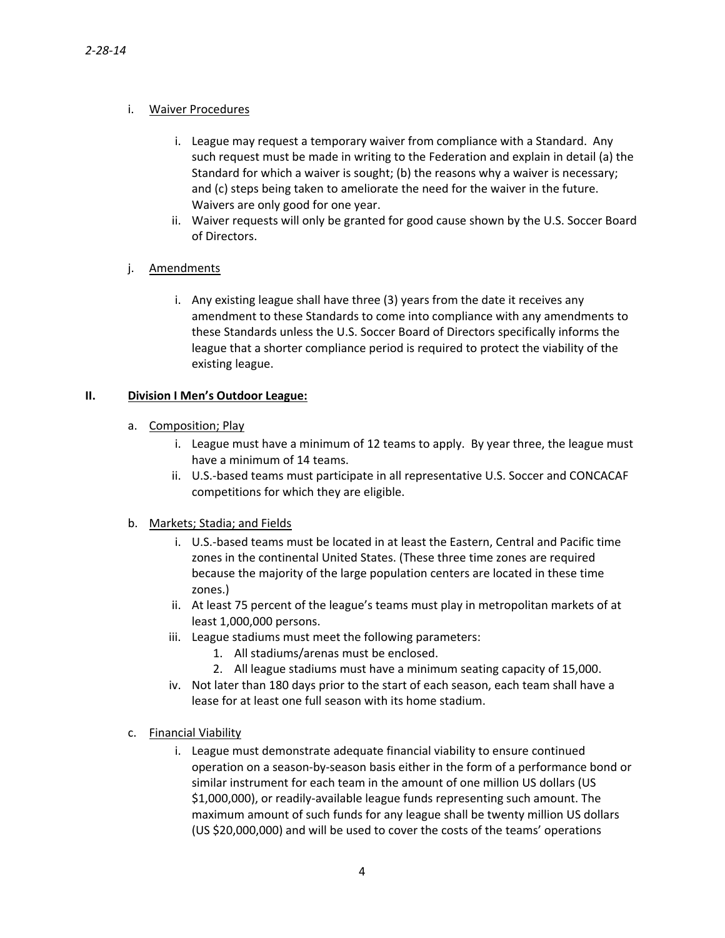## i. Waiver Procedures

- i. League may request a temporary waiver from compliance with a Standard. Any such request must be made in writing to the Federation and explain in detail (a) the Standard for which a waiver is sought; (b) the reasons why a waiver is necessary; and (c) steps being taken to ameliorate the need for the waiver in the future. Waivers are only good for one year.
- ii. Waiver requests will only be granted for good cause shown by the U.S. Soccer Board of Directors.

## j. Amendments

i. Any existing league shall have three (3) years from the date it receives any amendment to these Standards to come into compliance with any amendments to these Standards unless the U.S. Soccer Board of Directors specifically informs the league that a shorter compliance period is required to protect the viability of the existing league.

## **II. Division I Men's Outdoor League:**

- a. Composition; Play
	- i. League must have a minimum of 12 teams to apply. By year three, the league must have a minimum of 14 teams.
	- ii. U.S.‐based teams must participate in all representative U.S. Soccer and CONCACAF competitions for which they are eligible.

#### b. Markets; Stadia; and Fields

- i. U.S.‐based teams must be located in at least the Eastern, Central and Pacific time zones in the continental United States. (These three time zones are required because the majority of the large population centers are located in these time zones.)
- ii. At least 75 percent of the league's teams must play in metropolitan markets of at least 1,000,000 persons.
- iii. League stadiums must meet the following parameters:
	- 1. All stadiums/arenas must be enclosed.
	- 2. All league stadiums must have a minimum seating capacity of 15,000.
- iv. Not later than 180 days prior to the start of each season, each team shall have a lease for at least one full season with its home stadium.
- c. Financial Viability
	- i. League must demonstrate adequate financial viability to ensure continued operation on a season‐by‐season basis either in the form of a performance bond or similar instrument for each team in the amount of one million US dollars (US \$1,000,000), or readily‐available league funds representing such amount. The maximum amount of such funds for any league shall be twenty million US dollars (US \$20,000,000) and will be used to cover the costs of the teams' operations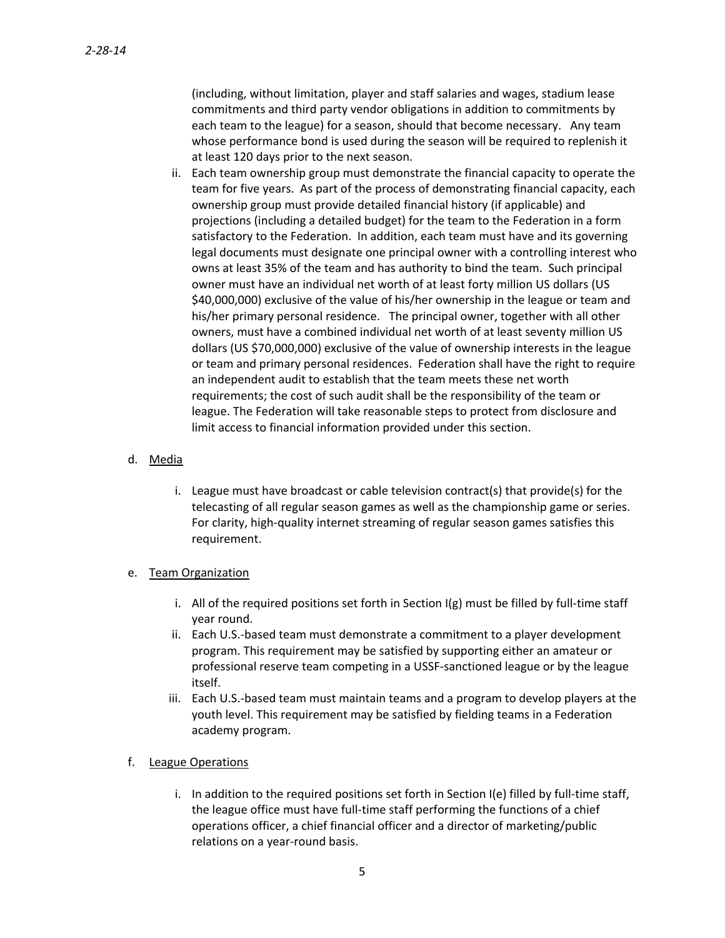(including, without limitation, player and staff salaries and wages, stadium lease commitments and third party vendor obligations in addition to commitments by each team to the league) for a season, should that become necessary. Any team whose performance bond is used during the season will be required to replenish it at least 120 days prior to the next season.

ii. Each team ownership group must demonstrate the financial capacity to operate the team for five years. As part of the process of demonstrating financial capacity, each ownership group must provide detailed financial history (if applicable) and projections (including a detailed budget) for the team to the Federation in a form satisfactory to the Federation. In addition, each team must have and its governing legal documents must designate one principal owner with a controlling interest who owns at least 35% of the team and has authority to bind the team. Such principal owner must have an individual net worth of at least forty million US dollars (US \$40,000,000) exclusive of the value of his/her ownership in the league or team and his/her primary personal residence. The principal owner, together with all other owners, must have a combined individual net worth of at least seventy million US dollars (US \$70,000,000) exclusive of the value of ownership interests in the league or team and primary personal residences. Federation shall have the right to require an independent audit to establish that the team meets these net worth requirements; the cost of such audit shall be the responsibility of the team or league. The Federation will take reasonable steps to protect from disclosure and limit access to financial information provided under this section.

#### d. Media

i. League must have broadcast or cable television contract(s) that provide(s) for the telecasting of all regular season games as well as the championship game or series. For clarity, high-quality internet streaming of regular season games satisfies this requirement.

### e. Team Organization

- i. All of the required positions set forth in Section  $I(g)$  must be filled by full-time staff year round.
- ii. Each U.S.‐based team must demonstrate a commitment to a player development program. This requirement may be satisfied by supporting either an amateur or professional reserve team competing in a USSF‐sanctioned league or by the league itself.
- iii. Each U.S.‐based team must maintain teams and a program to develop players at the youth level. This requirement may be satisfied by fielding teams in a Federation academy program.

#### f. League Operations

i. In addition to the required positions set forth in Section I(e) filled by full-time staff, the league office must have full‐time staff performing the functions of a chief operations officer, a chief financial officer and a director of marketing/public relations on a year‐round basis.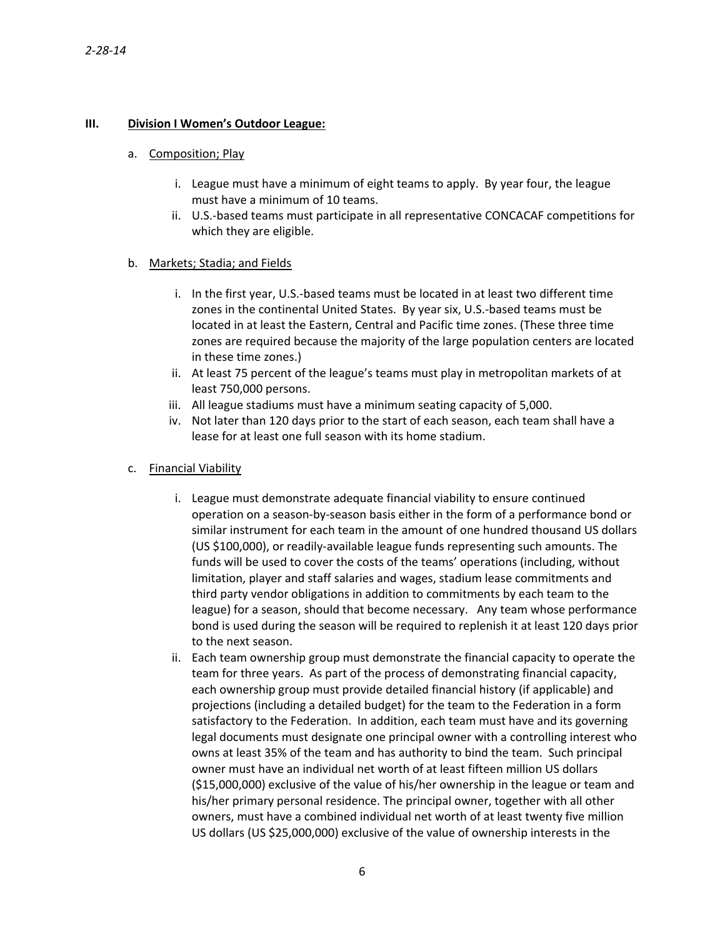## **III. Division I Women's Outdoor League:**

#### a. Composition; Play

- i. League must have a minimum of eight teams to apply. By year four, the league must have a minimum of 10 teams.
- ii. U.S.‐based teams must participate in all representative CONCACAF competitions for which they are eligible.

#### b. Markets; Stadia; and Fields

- i. In the first year, U.S.‐based teams must be located in at least two different time zones in the continental United States. By year six, U.S.‐based teams must be located in at least the Eastern, Central and Pacific time zones. (These three time zones are required because the majority of the large population centers are located in these time zones.)
- ii. At least 75 percent of the league's teams must play in metropolitan markets of at least 750,000 persons.
- iii. All league stadiums must have a minimum seating capacity of 5,000.
- iv. Not later than 120 days prior to the start of each season, each team shall have a lease for at least one full season with its home stadium.

#### c. Financial Viability

- i. League must demonstrate adequate financial viability to ensure continued operation on a season‐by‐season basis either in the form of a performance bond or similar instrument for each team in the amount of one hundred thousand US dollars (US \$100,000), or readily‐available league funds representing such amounts. The funds will be used to cover the costs of the teams' operations (including, without limitation, player and staff salaries and wages, stadium lease commitments and third party vendor obligations in addition to commitments by each team to the league) for a season, should that become necessary. Any team whose performance bond is used during the season will be required to replenish it at least 120 days prior to the next season.
- ii. Each team ownership group must demonstrate the financial capacity to operate the team for three years. As part of the process of demonstrating financial capacity, each ownership group must provide detailed financial history (if applicable) and projections (including a detailed budget) for the team to the Federation in a form satisfactory to the Federation. In addition, each team must have and its governing legal documents must designate one principal owner with a controlling interest who owns at least 35% of the team and has authority to bind the team. Such principal owner must have an individual net worth of at least fifteen million US dollars (\$15,000,000) exclusive of the value of his/her ownership in the league or team and his/her primary personal residence. The principal owner, together with all other owners, must have a combined individual net worth of at least twenty five million US dollars (US \$25,000,000) exclusive of the value of ownership interests in the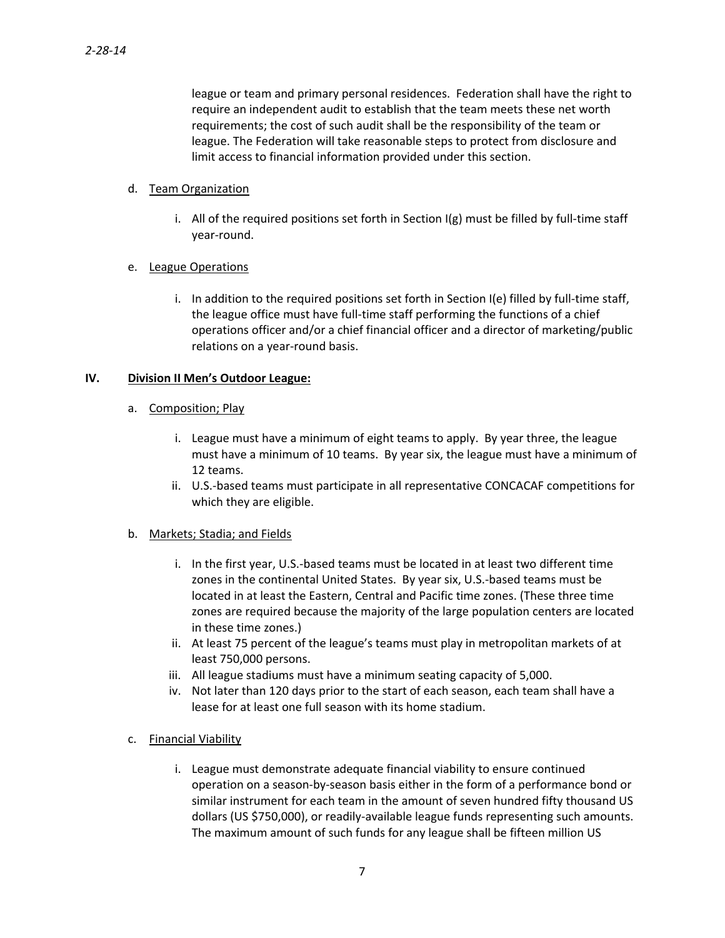league or team and primary personal residences. Federation shall have the right to require an independent audit to establish that the team meets these net worth requirements; the cost of such audit shall be the responsibility of the team or league. The Federation will take reasonable steps to protect from disclosure and limit access to financial information provided under this section.

### d. Team Organization

i. All of the required positions set forth in Section  $I(g)$  must be filled by full-time staff year‐round.

## e. League Operations

i. In addition to the required positions set forth in Section I(e) filled by full-time staff, the league office must have full‐time staff performing the functions of a chief operations officer and/or a chief financial officer and a director of marketing/public relations on a year‐round basis.

## **IV. Division II Men's Outdoor League:**

## a. Composition; Play

- i. League must have a minimum of eight teams to apply. By year three, the league must have a minimum of 10 teams. By year six, the league must have a minimum of 12 teams.
- ii. U.S.‐based teams must participate in all representative CONCACAF competitions for which they are eligible.

## b. Markets; Stadia; and Fields

- i. In the first year, U.S.‐based teams must be located in at least two different time zones in the continental United States. By year six, U.S.‐based teams must be located in at least the Eastern, Central and Pacific time zones. (These three time zones are required because the majority of the large population centers are located in these time zones.)
- ii. At least 75 percent of the league's teams must play in metropolitan markets of at least 750,000 persons.
- iii. All league stadiums must have a minimum seating capacity of 5,000.
- iv. Not later than 120 days prior to the start of each season, each team shall have a lease for at least one full season with its home stadium.

## c. Financial Viability

i. League must demonstrate adequate financial viability to ensure continued operation on a season‐by‐season basis either in the form of a performance bond or similar instrument for each team in the amount of seven hundred fifty thousand US dollars (US \$750,000), or readily‐available league funds representing such amounts. The maximum amount of such funds for any league shall be fifteen million US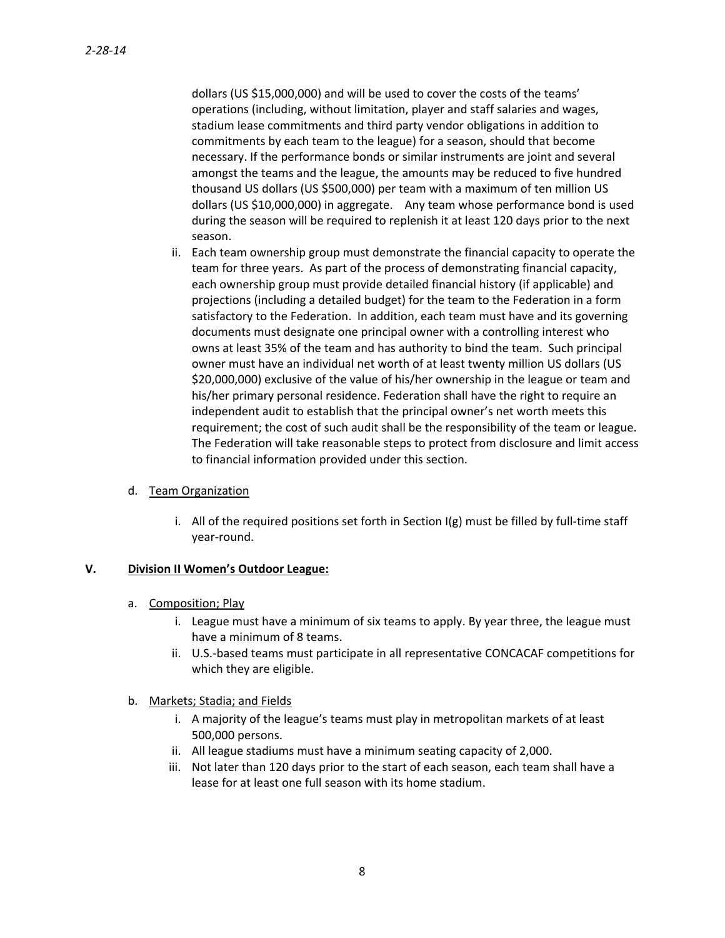dollars (US \$15,000,000) and will be used to cover the costs of the teams' operations (including, without limitation, player and staff salaries and wages, stadium lease commitments and third party vendor obligations in addition to commitments by each team to the league) for a season, should that become necessary. If the performance bonds or similar instruments are joint and several amongst the teams and the league, the amounts may be reduced to five hundred thousand US dollars (US \$500,000) per team with a maximum of ten million US dollars (US \$10,000,000) in aggregate. Any team whose performance bond is used during the season will be required to replenish it at least 120 days prior to the next season.

ii. Each team ownership group must demonstrate the financial capacity to operate the team for three years. As part of the process of demonstrating financial capacity, each ownership group must provide detailed financial history (if applicable) and projections (including a detailed budget) for the team to the Federation in a form satisfactory to the Federation. In addition, each team must have and its governing documents must designate one principal owner with a controlling interest who owns at least 35% of the team and has authority to bind the team. Such principal owner must have an individual net worth of at least twenty million US dollars (US \$20,000,000) exclusive of the value of his/her ownership in the league or team and his/her primary personal residence. Federation shall have the right to require an independent audit to establish that the principal owner's net worth meets this requirement; the cost of such audit shall be the responsibility of the team or league. The Federation will take reasonable steps to protect from disclosure and limit access to financial information provided under this section.

#### d. Team Organization

i. All of the required positions set forth in Section  $I(g)$  must be filled by full-time staff year‐round.

#### **V. Division II Women's Outdoor League:**

- a. Composition; Play
	- i. League must have a minimum of six teams to apply. By year three, the league must have a minimum of 8 teams.
	- ii. U.S.‐based teams must participate in all representative CONCACAF competitions for which they are eligible.
- b. Markets; Stadia; and Fields
	- i. A majority of the league's teams must play in metropolitan markets of at least 500,000 persons.
	- ii. All league stadiums must have a minimum seating capacity of 2,000.
	- iii. Not later than 120 days prior to the start of each season, each team shall have a lease for at least one full season with its home stadium.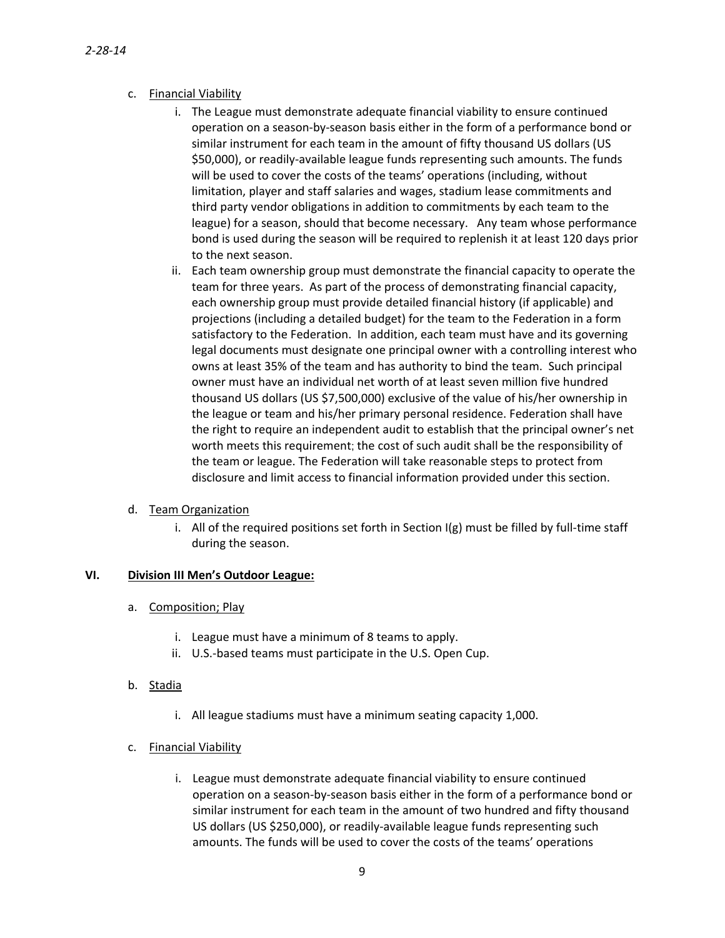- c. Financial Viability
	- i. The League must demonstrate adequate financial viability to ensure continued operation on a season‐by‐season basis either in the form of a performance bond or similar instrument for each team in the amount of fifty thousand US dollars (US \$50,000), or readily‐available league funds representing such amounts. The funds will be used to cover the costs of the teams' operations (including, without limitation, player and staff salaries and wages, stadium lease commitments and third party vendor obligations in addition to commitments by each team to the league) for a season, should that become necessary. Any team whose performance bond is used during the season will be required to replenish it at least 120 days prior to the next season.
	- ii. Each team ownership group must demonstrate the financial capacity to operate the team for three years. As part of the process of demonstrating financial capacity, each ownership group must provide detailed financial history (if applicable) and projections (including a detailed budget) for the team to the Federation in a form satisfactory to the Federation. In addition, each team must have and its governing legal documents must designate one principal owner with a controlling interest who owns at least 35% of the team and has authority to bind the team. Such principal owner must have an individual net worth of at least seven million five hundred thousand US dollars (US \$7,500,000) exclusive of the value of his/her ownership in the league or team and his/her primary personal residence. Federation shall have the right to require an independent audit to establish that the principal owner's net worth meets this requirement; the cost of such audit shall be the responsibility of the team or league. The Federation will take reasonable steps to protect from disclosure and limit access to financial information provided under this section.

#### d. Team Organization

i. All of the required positions set forth in Section  $I(g)$  must be filled by full-time staff during the season.

#### **VI. Division III Men's Outdoor League:**

- a. Composition; Play
	- i. League must have a minimum of 8 teams to apply.
	- ii. U.S.‐based teams must participate in the U.S. Open Cup.
- b. Stadia
	- i. All league stadiums must have a minimum seating capacity 1,000.
- c. Financial Viability
	- i. League must demonstrate adequate financial viability to ensure continued operation on a season‐by‐season basis either in the form of a performance bond or similar instrument for each team in the amount of two hundred and fifty thousand US dollars (US \$250,000), or readily‐available league funds representing such amounts. The funds will be used to cover the costs of the teams' operations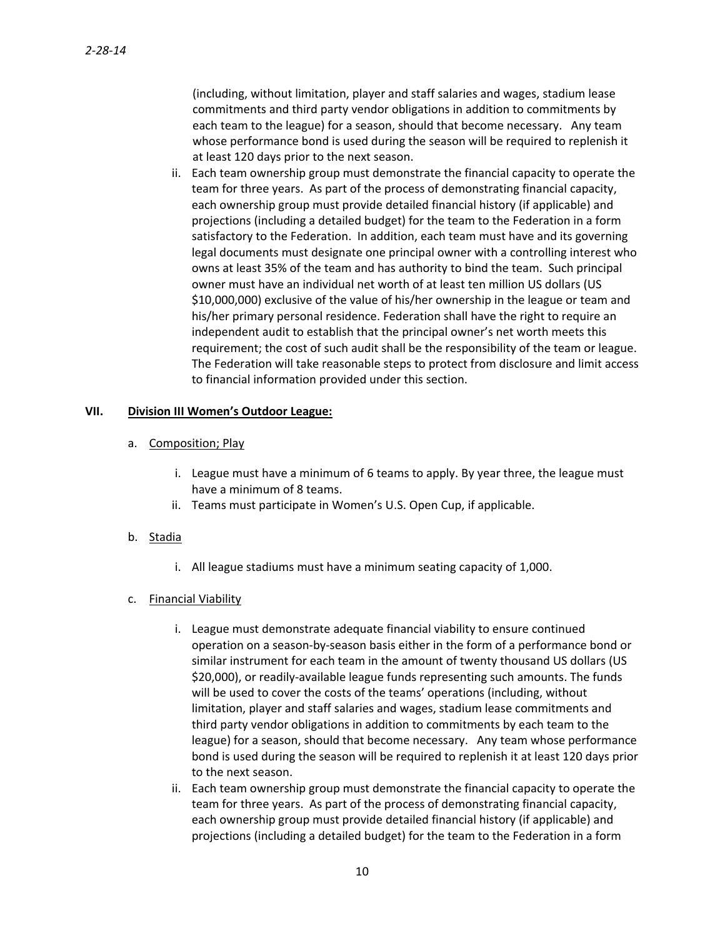(including, without limitation, player and staff salaries and wages, stadium lease commitments and third party vendor obligations in addition to commitments by each team to the league) for a season, should that become necessary. Any team whose performance bond is used during the season will be required to replenish it at least 120 days prior to the next season.

ii. Each team ownership group must demonstrate the financial capacity to operate the team for three years. As part of the process of demonstrating financial capacity, each ownership group must provide detailed financial history (if applicable) and projections (including a detailed budget) for the team to the Federation in a form satisfactory to the Federation. In addition, each team must have and its governing legal documents must designate one principal owner with a controlling interest who owns at least 35% of the team and has authority to bind the team. Such principal owner must have an individual net worth of at least ten million US dollars (US \$10,000,000) exclusive of the value of his/her ownership in the league or team and his/her primary personal residence. Federation shall have the right to require an independent audit to establish that the principal owner's net worth meets this requirement; the cost of such audit shall be the responsibility of the team or league. The Federation will take reasonable steps to protect from disclosure and limit access to financial information provided under this section.

### **VII. Division III Women's Outdoor League:**

## a. Composition; Play

- i. League must have a minimum of 6 teams to apply. By year three, the league must have a minimum of 8 teams.
- ii. Teams must participate in Women's U.S. Open Cup, if applicable.
- b. Stadia
	- i. All league stadiums must have a minimum seating capacity of 1,000.

## c. Financial Viability

- i. League must demonstrate adequate financial viability to ensure continued operation on a season‐by‐season basis either in the form of a performance bond or similar instrument for each team in the amount of twenty thousand US dollars (US \$20,000), or readily‐available league funds representing such amounts. The funds will be used to cover the costs of the teams' operations (including, without limitation, player and staff salaries and wages, stadium lease commitments and third party vendor obligations in addition to commitments by each team to the league) for a season, should that become necessary. Any team whose performance bond is used during the season will be required to replenish it at least 120 days prior to the next season.
- ii. Each team ownership group must demonstrate the financial capacity to operate the team for three years. As part of the process of demonstrating financial capacity, each ownership group must provide detailed financial history (if applicable) and projections (including a detailed budget) for the team to the Federation in a form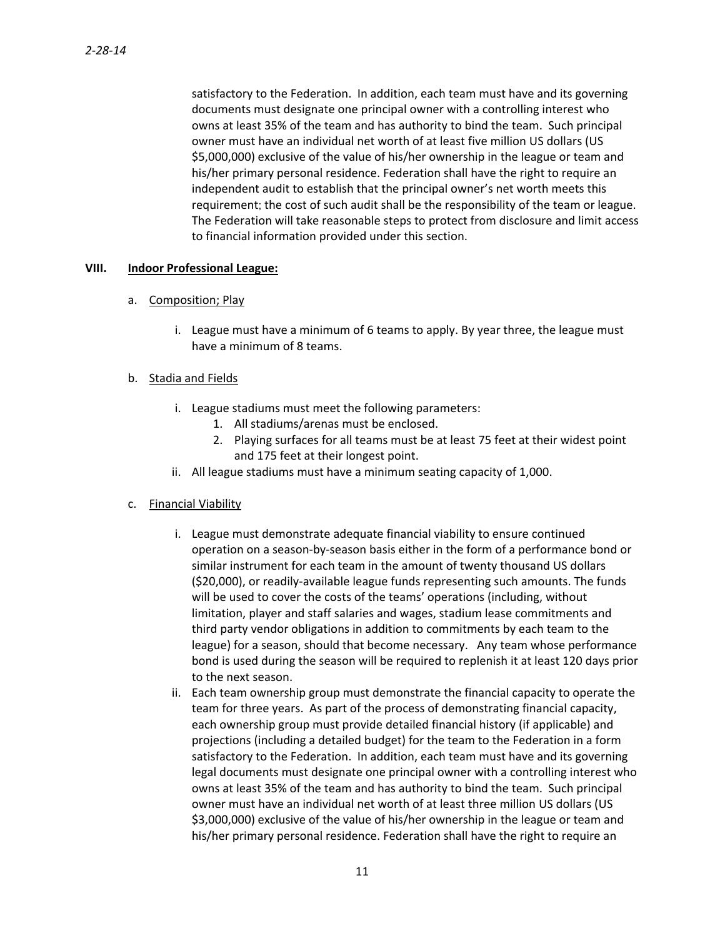satisfactory to the Federation. In addition, each team must have and its governing documents must designate one principal owner with a controlling interest who owns at least 35% of the team and has authority to bind the team. Such principal owner must have an individual net worth of at least five million US dollars (US \$5,000,000) exclusive of the value of his/her ownership in the league or team and his/her primary personal residence. Federation shall have the right to require an independent audit to establish that the principal owner's net worth meets this requirement; the cost of such audit shall be the responsibility of the team or league. The Federation will take reasonable steps to protect from disclosure and limit access to financial information provided under this section.

#### **VIII. Indoor Professional League:**

- a. Composition; Play
	- i. League must have a minimum of 6 teams to apply. By year three, the league must have a minimum of 8 teams.
- b. Stadia and Fields
	- i. League stadiums must meet the following parameters:
		- 1. All stadiums/arenas must be enclosed.
		- 2. Playing surfaces for all teams must be at least 75 feet at their widest point and 175 feet at their longest point.
	- ii. All league stadiums must have a minimum seating capacity of 1,000.
- c. Financial Viability
	- i. League must demonstrate adequate financial viability to ensure continued operation on a season‐by‐season basis either in the form of a performance bond or similar instrument for each team in the amount of twenty thousand US dollars (\$20,000), or readily‐available league funds representing such amounts. The funds will be used to cover the costs of the teams' operations (including, without limitation, player and staff salaries and wages, stadium lease commitments and third party vendor obligations in addition to commitments by each team to the league) for a season, should that become necessary. Any team whose performance bond is used during the season will be required to replenish it at least 120 days prior to the next season.
	- ii. Each team ownership group must demonstrate the financial capacity to operate the team for three years. As part of the process of demonstrating financial capacity, each ownership group must provide detailed financial history (if applicable) and projections (including a detailed budget) for the team to the Federation in a form satisfactory to the Federation. In addition, each team must have and its governing legal documents must designate one principal owner with a controlling interest who owns at least 35% of the team and has authority to bind the team. Such principal owner must have an individual net worth of at least three million US dollars (US \$3,000,000) exclusive of the value of his/her ownership in the league or team and his/her primary personal residence. Federation shall have the right to require an